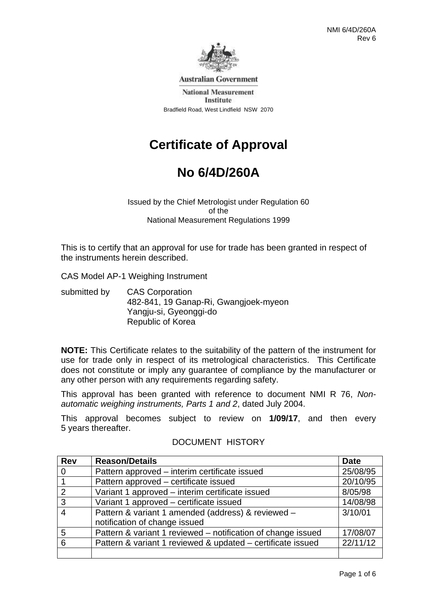

**Australian Government** 

**National Measurement** Institute Bradfield Road, West Lindfield NSW 2070

# **Certificate of Approval**

# **No 6/4D/260A**

Issued by the Chief Metrologist under Regulation 60 of the National Measurement Regulations 1999

This is to certify that an approval for use for trade has been granted in respect of the instruments herein described.

CAS Model AP-1 Weighing Instrument

submitted by CAS Corporation 482-841, 19 Ganap-Ri, Gwangjoek-myeon Yangju-si, Gyeonggi-do Republic of Korea

**NOTE:** This Certificate relates to the suitability of the pattern of the instrument for use for trade only in respect of its metrological characteristics. This Certificate does not constitute or imply any guarantee of compliance by the manufacturer or any other person with any requirements regarding safety.

This approval has been granted with reference to document NMI R 76, *Nonautomatic weighing instruments, Parts 1 and 2*, dated July 2004.

This approval becomes subject to review on **1/09/17**, and then every 5 years thereafter.

| <b>Rev</b> | <b>Reason/Details</b>                                        | <b>Date</b> |
|------------|--------------------------------------------------------------|-------------|
| 0          | Pattern approved – interim certificate issued                | 25/08/95    |
|            | Pattern approved - certificate issued                        | 20/10/95    |
| 2          | Variant 1 approved – interim certificate issued              | 8/05/98     |
| 3          | Variant 1 approved - certificate issued                      | 14/08/98    |
| 4          | Pattern & variant 1 amended (address) & reviewed -           | 3/10/01     |
|            | notification of change issued                                |             |
| 5          | Pattern & variant 1 reviewed – notification of change issued | 17/08/07    |
| 6          | Pattern & variant 1 reviewed & updated – certificate issued  | 22/11/12    |
|            |                                                              |             |

### DOCUMENT HISTORY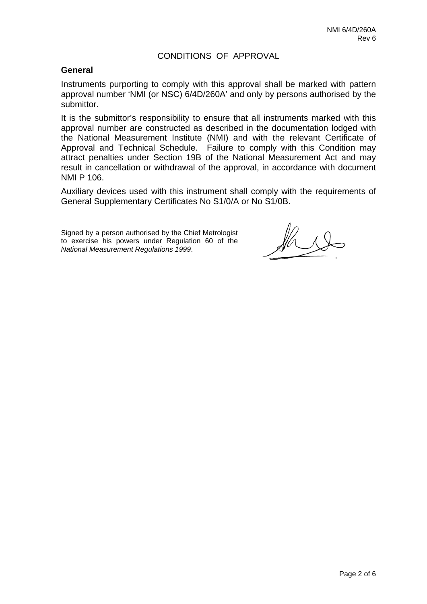### CONDITIONS OF APPROVAL

#### **General**

Instruments purporting to comply with this approval shall be marked with pattern approval number 'NMI (or NSC) 6/4D/260A' and only by persons authorised by the submittor.

It is the submittor's responsibility to ensure that all instruments marked with this approval number are constructed as described in the documentation lodged with the National Measurement Institute (NMI) and with the relevant Certificate of Approval and Technical Schedule. Failure to comply with this Condition may attract penalties under Section 19B of the National Measurement Act and may result in cancellation or withdrawal of the approval, in accordance with document NMI P 106.

Auxiliary devices used with this instrument shall comply with the requirements of General Supplementary Certificates No S1/0/A or No S1/0B.

Signed by a person authorised by the Chief Metrologist to exercise his powers under Regulation 60 of the *National Measurement Regulations 1999*.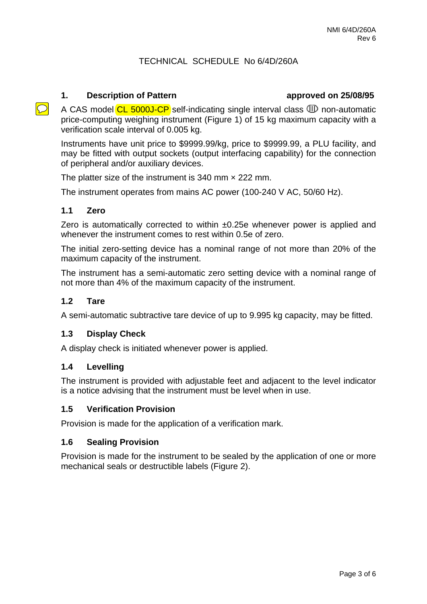### TECHNICAL SCHEDULE No 6/4D/260A

#### **1. Description of Pattern approved on 25/08/95**

A CAS model  $CL$  5000J-CP self-indicating single interval class  $CD$  non-automatic price-computing weighing instrument (Figure 1) of 15 kg maximum capacity with a verification scale interval of 0.005 kg.

Instruments have unit price to \$9999.99/kg, price to \$9999.99, a PLU facility, and may be fitted with output sockets (output interfacing capability) for the connection of peripheral and/or auxiliary devices.

The platter size of the instrument is 340 mm  $\times$  222 mm.

The instrument operates from mains AC power (100-240 V AC, 50/60 Hz).

#### **1.1 Zero**

 $\overline{C}$ 

Zero is automatically corrected to within ±0.25e whenever power is applied and whenever the instrument comes to rest within 0.5e of zero.

The initial zero-setting device has a nominal range of not more than 20% of the maximum capacity of the instrument.

The instrument has a semi-automatic zero setting device with a nominal range of not more than 4% of the maximum capacity of the instrument.

#### **1.2 Tare**

A semi-automatic subtractive tare device of up to 9.995 kg capacity, may be fitted.

#### **1.3 Display Check**

A display check is initiated whenever power is applied.

#### **1.4 Levelling**

The instrument is provided with adjustable feet and adjacent to the level indicator is a notice advising that the instrument must be level when in use.

#### **1.5 Verification Provision**

Provision is made for the application of a verification mark.

#### **1.6 Sealing Provision**

Provision is made for the instrument to be sealed by the application of one or more mechanical seals or destructible labels (Figure 2).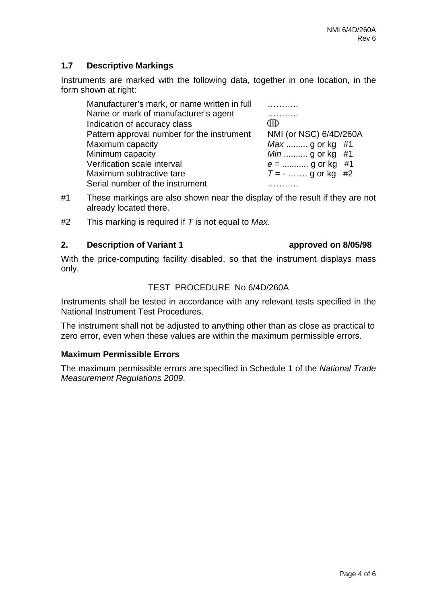## **1.7 Descriptive Markings**

Instruments are marked with the following data, together in one location, in the form shown at right:

| Manufacturer's mark, or name written in full |                        |
|----------------------------------------------|------------------------|
| Name or mark of manufacturer's agent         |                        |
| Indication of accuracy class                 | ШD                     |
| Pattern approval number for the instrument   | NMI (or NSC) 6/4D/260A |
| Maximum capacity                             | <i>Max</i> g or kg #1  |
| Minimum capacity                             | <i>Min</i> g or kg #1  |
| Verification scale interval                  | $e =$ g or kg #1       |
| Maximum subtractive tare                     | $T = -$ g or kg #2     |
| Serial number of the instrument              |                        |
|                                              |                        |

- #1 These markings are also shown near the display of the result if they are not already located there.
- #2 This marking is required if *T* is not equal to *Max*.

### **2.** Description of Variant 1 **a** approved on 8/05/98

only.

# With the price-computing facility disabled, so that the instrument displays mass

# TEST PROCEDURE No 6/4D/260A

Instruments shall be tested in accordance with any relevant tests specified in the National Instrument Test Procedures.

The instrument shall not be adjusted to anything other than as close as practical to zero error, even when these values are within the maximum permissible errors.

### **Maximum Permissible Errors**

The maximum permissible errors are specified in Schedule 1 of the *National Trade Measurement Regulations 2009*.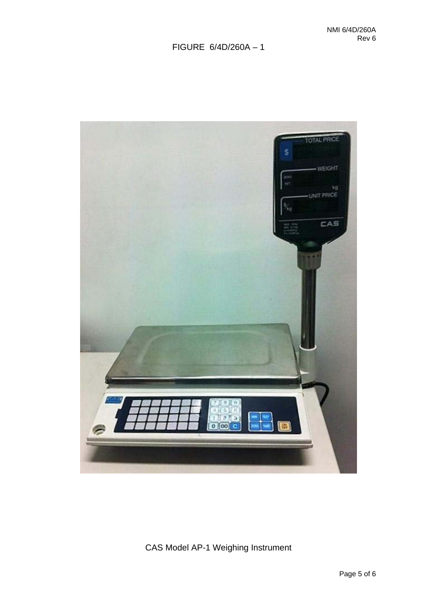# FIGURE 6/4D/260A – 1



CAS Model AP-1 Weighing Instrument